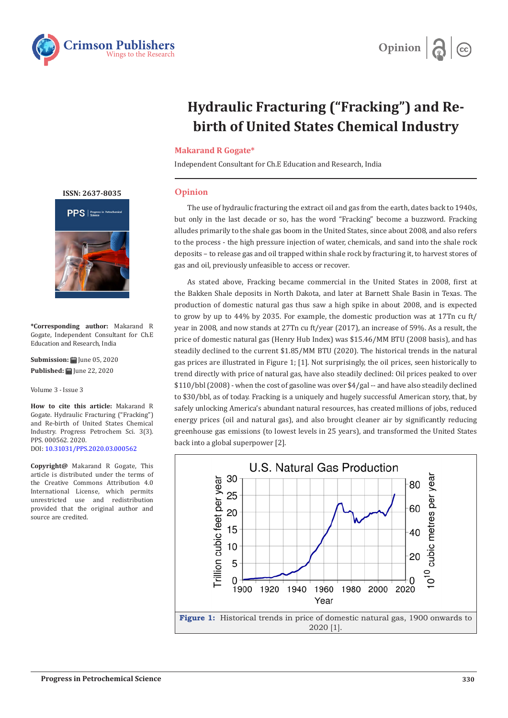



## **Hydraulic Fracturing ("Fracking") and Rebirth of United States Chemical Industry**

## **Makarand R Gogate\***

Independent Consultant for Ch.E Education and Research, India

## **Opinion**

The use of hydraulic fracturing the extract oil and gas from the earth, dates back to 1940s, but only in the last decade or so, has the word "Fracking" become a buzzword. Fracking alludes primarily to the shale gas boom in the United States, since about 2008, and also refers to the process - the high pressure injection of water, chemicals, and sand into the shale rock deposits – to release gas and oil trapped within shale rock by fracturing it, to harvest stores of gas and oil, previously unfeasible to access or recover.

As stated above, Fracking became commercial in the United States in 2008, first at the Bakken Shale deposits in North Dakota, and later at Barnett Shale Basin in Texas. The production of domestic natural gas thus saw a high spike in about 2008, and is expected to grow by up to 44% by 2035. For example, the domestic production was at 17Tn cu ft/ year in 2008, and now stands at 27Tn cu ft/year (2017), an increase of 59%. As a result, the price of domestic natural gas (Henry Hub Index) was \$15.46/MM BTU (2008 basis), and has steadily declined to the current \$1.85/MM BTU (2020). The historical trends in the natural gas prices are illustrated in Figure 1; [1]. Not surprisingly, the oil prices, seen historically to trend directly with price of natural gas, have also steadily declined: Oil prices peaked to over \$110/bbl (2008) - when the cost of gasoline was over \$4/gal -- and have also steadily declined to \$30/bbl, as of today. Fracking is a uniquely and hugely successful American story, that, by safely unlocking America's abundant natural resources, has created millions of jobs, reduced energy prices (oil and natural gas), and also brought cleaner air by significantly reducing greenhouse gas emissions (to lowest levels in 25 years), and transformed the United States back into a global superpower [2].



**[ISSN: 2637-8035](https://crimsonpublishers.com/pps/)**



**\*Corresponding author:** Makarand R Gogate, Independent Consultant for Ch.E Education and Research, India

**Submission: 曲** June 05, 2020 **Published: | Iune 22, 2020** 

Volume 3 - Issue 3

**How to cite this article:** Makarand R Gogate. Hydraulic Fracturing ("Fracking") and Re-birth of United States Chemical Industry. Progress Petrochem Sci. 3(3). PPS. 000562. 2020. DOI: [10.31031/PPS.2020.03.000562](http://dx.doi.org/10.31031/PPS.2020.03.000562)

**Copyright@** Makarand R Gogate, This article is distributed under the terms of the Creative Commons Attribution 4.0 International License, which permits unrestricted use and redistribution provided that the original author and source are credited.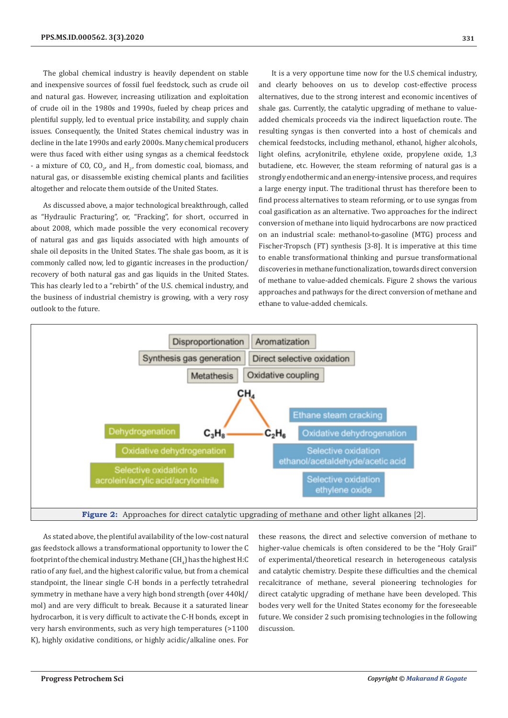The global chemical industry is heavily dependent on stable and inexpensive sources of fossil fuel feedstock, such as crude oil and natural gas. However, increasing utilization and exploitation of crude oil in the 1980s and 1990s, fueled by cheap prices and plentiful supply, led to eventual price instability, and supply chain issues. Consequently, the United States chemical industry was in decline in the late 1990s and early 2000s. Many chemical producers were thus faced with either using syngas as a chemical feedstock - a mixture of CO,  $CO_{2'}$  and  $H_{2'}$  from domestic coal, biomass, and natural gas, or disassemble existing chemical plants and facilities altogether and relocate them outside of the United States.

As discussed above, a major technological breakthrough, called as "Hydraulic Fracturing", or, "Fracking", for short, occurred in about 2008, which made possible the very economical recovery of natural gas and gas liquids associated with high amounts of shale oil deposits in the United States. The shale gas boom, as it is commonly called now, led to gigantic increases in the production/ recovery of both natural gas and gas liquids in the United States. This has clearly led to a "rebirth" of the U.S. chemical industry, and the business of industrial chemistry is growing, with a very rosy outlook to the future.

It is a very opportune time now for the U.S chemical industry, and clearly behooves on us to develop cost-effective process alternatives, due to the strong interest and economic incentives of shale gas. Currently, the catalytic upgrading of methane to valueadded chemicals proceeds via the indirect liquefaction route. The resulting syngas is then converted into a host of chemicals and chemical feedstocks, including methanol, ethanol, higher alcohols, light olefins, acrylonitrile, ethylene oxide, propylene oxide, 1,3 butadiene, etc. However, the steam reforming of natural gas is a strongly endothermic and an energy-intensive process, and requires a large energy input. The traditional thrust has therefore been to find process alternatives to steam reforming, or to use syngas from coal gasification as an alternative. Two approaches for the indirect conversion of methane into liquid hydrocarbons are now practiced on an industrial scale: methanol-to-gasoline (MTG) process and Fischer-Tropsch (FT) synthesis [3-8]. It is imperative at this time to enable transformational thinking and pursue transformational discoveries in methane functionalization, towards direct conversion of methane to value-added chemicals. Figure 2 shows the various approaches and pathways for the direct conversion of methane and ethane to value-added chemicals.



As stated above, the plentiful availability of the low-cost natural gas feedstock allows a transformational opportunity to lower the C footprint of the chemical industry. Methane (CH $_{4}$ ) has the highest H:C ratio of any fuel, and the highest calorific value, but from a chemical standpoint, the linear single C-H bonds in a perfectly tetrahedral symmetry in methane have a very high bond strength (over 440kJ/ mol) and are very difficult to break. Because it a saturated linear hydrocarbon, it is very difficult to activate the C-H bonds, except in very harsh environments, such as very high temperatures (>1100 K), highly oxidative conditions, or highly acidic/alkaline ones. For

these reasons, the direct and selective conversion of methane to higher-value chemicals is often considered to be the "Holy Grail" of experimental/theoretical research in heterogeneous catalysis and catalytic chemistry. Despite these difficulties and the chemical recalcitrance of methane, several pioneering technologies for direct catalytic upgrading of methane have been developed. This bodes very well for the United States economy for the foreseeable future. We consider 2 such promising technologies in the following discussion.